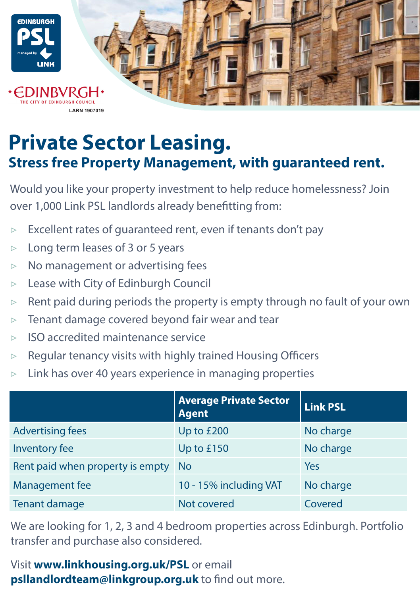

## **Private Sector Leasing. Stress free Property Management, with guaranteed rent.**

Would you like your property investment to help reduce homelessness? Join over 1,000 Link PSL landlords already benefitting from:

- ▷ Excellent rates of guaranteed rent, even if tenants don't pay
- $\triangleright$  Long term leases of 3 or 5 years
- ▷ No management or advertising fees
- ▷ Lease with City of Edinburgh Council
- $\triangleright$  Rent paid during periods the property is empty through no fault of your own
- $\triangleright$  Tenant damage covered beyond fair wear and tear
- ▷ ISO accredited maintenance service
- $\triangleright$  Regular tenancy visits with highly trained Housing Officers
- $\triangleright$  Link has over 40 years experience in managing properties

|                                  | <b>Average Private Sector</b><br><b>Agent</b> | <b>Link PSL</b> |
|----------------------------------|-----------------------------------------------|-----------------|
| <b>Advertising fees</b>          | Up to £200                                    | No charge       |
| Inventory fee                    | Up to £150                                    | No charge       |
| Rent paid when property is empty | - No                                          | Yes             |
| Management fee                   | 10 - 15% including VAT                        | No charge       |
| Tenant damage                    | Not covered                                   | Covered         |

We are looking for 1, 2, 3 and 4 bedroom properties across Edinburgh. Portfolio transfer and purchase also considered.

Visit **www.linkhousing.org.uk/PSL** or email **psllandlordteam@linkgroup.org.uk** to find out more.